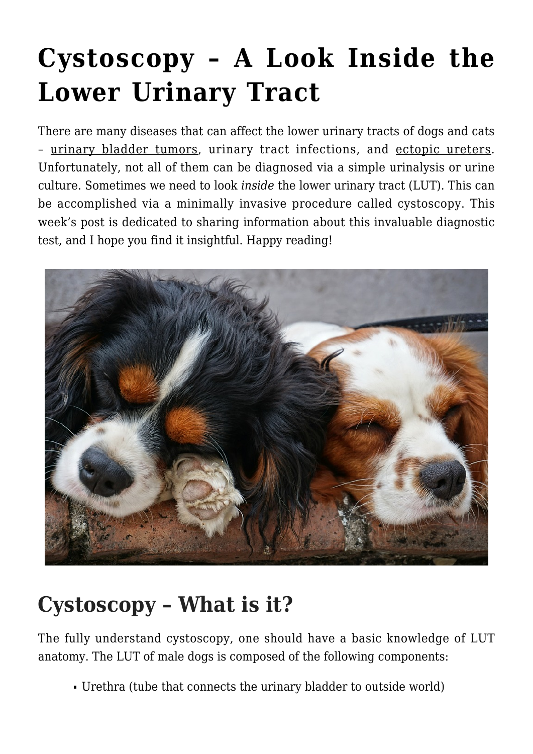# **[Cystoscopy – A Look Inside the](https://criticalcaredvm.com/cystoscopy-lower-urinary-tract/) [Lower Urinary Tract](https://criticalcaredvm.com/cystoscopy-lower-urinary-tract/)**

There are many diseases that can affect the lower urinary tracts of dogs and cats – [urinary bladder tumors](https://criticalcaredvm.com/urinary-bladder-cancer-in-dogs/), [urinary tract infections](https://criticalcaredvm.com/urinary-tract-infection-in-dogs-and-cats/), and [ectopic ureters.](https://criticalcaredvm.com/ectopic-ureter-dogs/) Unfortunately, not all of them can be diagnosed via a simple urinalysis or urine culture. Sometimes we need to look *inside* the lower urinary tract (LUT). This can be accomplished via a minimally invasive procedure called cystoscopy. This week's post is dedicated to sharing information about this invaluable diagnostic test, and I hope you find it insightful. Happy reading!



#### **Cystoscopy – What is it?**

The fully understand cystoscopy, one should have a basic knowledge of LUT anatomy. The LUT of male dogs is composed of the following components:

Urethra (tube that connects the urinary bladder to outside world)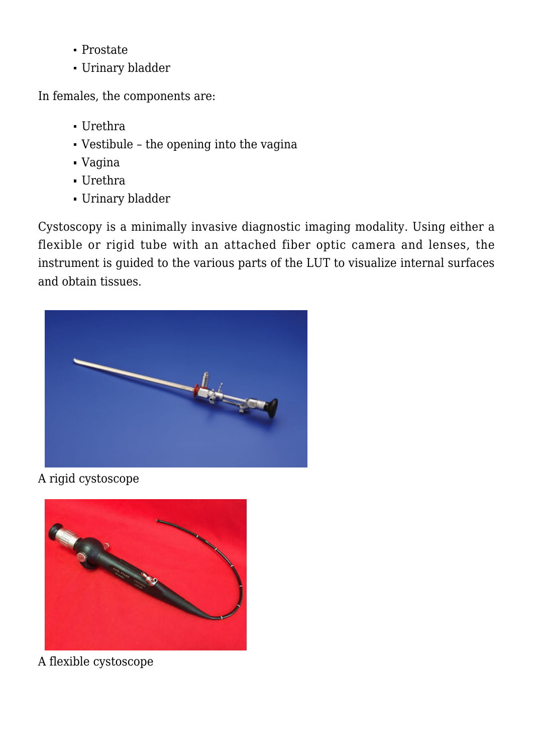- Prostate
- Urinary bladder

In females, the components are:

- Urethra
- Vestibule the opening into the vagina
- Vagina
- Urethra
- Urinary bladder

Cystoscopy is a minimally invasive diagnostic imaging modality. Using either a flexible or rigid tube with an attached fiber optic camera and lenses, the instrument is guided to the various parts of the LUT to visualize internal surfaces and obtain tissues.



A rigid cystoscope



A flexible cystoscope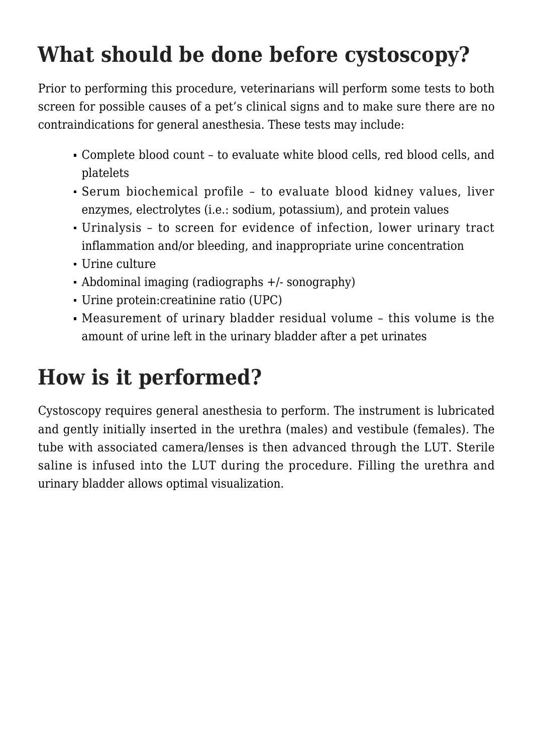#### **What should be done before cystoscopy?**

Prior to performing this procedure, veterinarians will perform some tests to both screen for possible causes of a pet's clinical signs and to make sure there are no contraindications for general anesthesia. These tests may include:

- Complete blood count to evaluate white blood cells, red blood cells, and platelets
- Serum biochemical profile to evaluate blood kidney values, liver enzymes, electrolytes (i.e.: sodium, potassium), and protein values
- Urinalysis to screen for evidence of infection, lower urinary tract inflammation and/or bleeding, and inappropriate urine concentration
- Urine culture
- Abdominal imaging (radiographs +/- [sonography](https://criticalcaredvm.com/ultrasonography-dogs-cats/))
- Urine protein:creatinine ratio (UPC)
- Measurement of urinary bladder residual volume this volume is the amount of urine left in the urinary bladder after a pet urinates

## **How is it performed?**

Cystoscopy requires general anesthesia to perform. The instrument is lubricated and gently initially inserted in the urethra (males) and vestibule (females). The tube with associated camera/lenses is then advanced through the LUT. Sterile saline is infused into the LUT during the procedure. Filling the urethra and urinary bladder allows optimal visualization.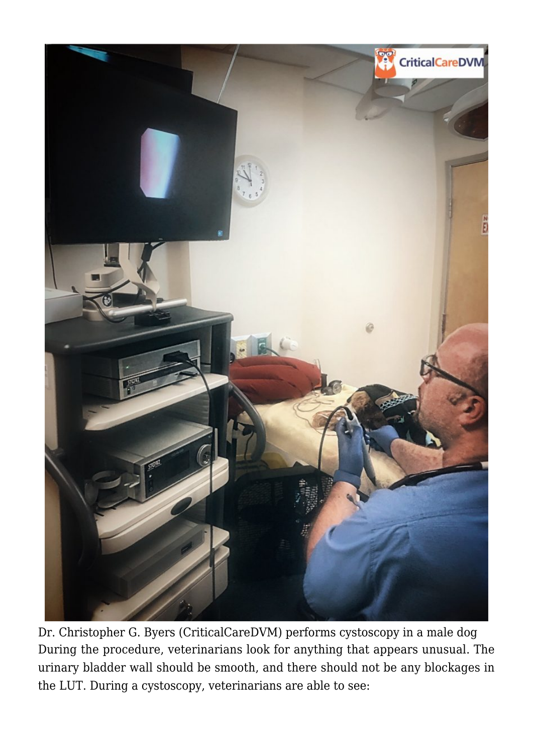

Dr. Christopher G. Byers [\(CriticalCareDVM\)](https://criticalcaredvm.com/who-is-criticalcaredvm/) performs cystoscopy in a male dog During the procedure, veterinarians look for anything that appears unusual. The urinary bladder wall should be smooth, and there should not be any blockages in the LUT. During a cystoscopy, veterinarians are able to see: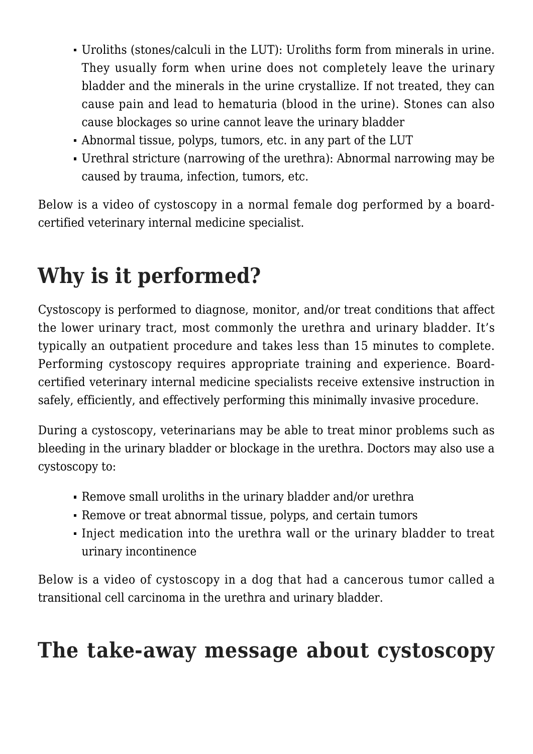- Uroliths (stones/calculi in the LUT): Uroliths form from minerals in urine. They usually form when urine does not completely leave the urinary bladder and the minerals in the urine crystallize. If not treated, they can cause pain and lead to hematuria (blood in the urine). Stones can also cause blockages so urine cannot leave the urinary bladder
- Abnormal tissue, polyps, tumors, etc. in any part of the LUT
- Urethral stricture (narrowing of the urethra): Abnormal narrowing may be caused by trauma, infection, tumors, etc.

Below is a video of cystoscopy in a normal female dog performed by a boardcertified veterinary internal medicine specialist.

## **Why is it performed?**

Cystoscopy is performed to diagnose, monitor, and/or treat conditions that affect the lower urinary tract, most commonly the urethra and urinary bladder. It's typically an outpatient procedure and takes less than 15 minutes to complete. Performing cystoscopy requires appropriate training and experience. Boardcertified veterinary internal medicine specialists receive extensive instruction in safely, efficiently, and effectively performing this minimally invasive procedure.

During a cystoscopy, veterinarians may be able to treat minor problems such as bleeding in the urinary bladder or blockage in the urethra. Doctors may also use a cystoscopy to:

- Remove small uroliths in the urinary bladder and/or urethra
- Remove or treat abnormal tissue, polyps, and certain tumors
- Inject medication into the urethra wall or the urinary bladder to treat urinary incontinence

Below is a video of cystoscopy in a dog that had a cancerous tumor called a transitional cell carcinoma in the urethra and urinary bladder.

#### **The take-away message about cystoscopy**